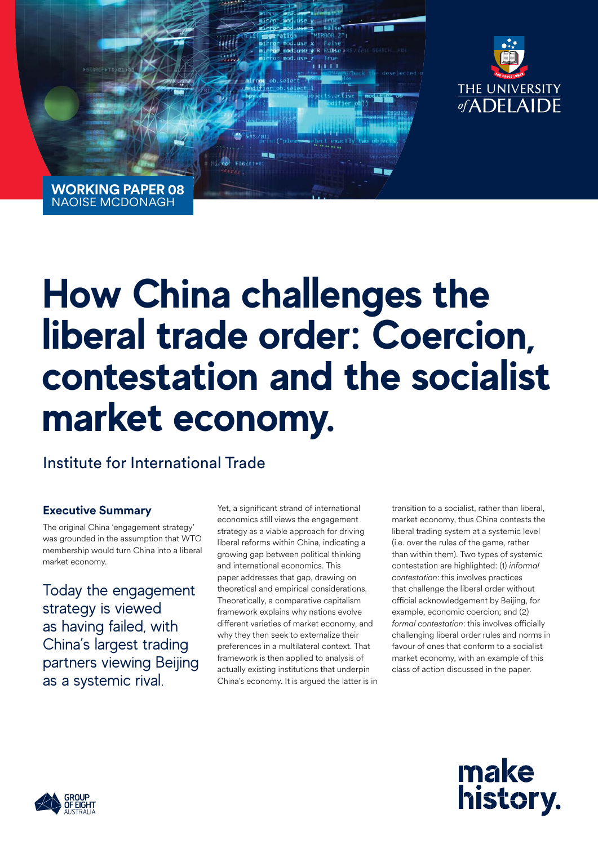

**WORKING PAPER 08** NAOISE MCDONAGH

# **How China challenges the liberal trade order: Coercion, contestation and the socialist market economy.**

Institute for International Trade

### **Executive Summary**

The original China 'engagement strategy' was grounded in the assumption that WTO membership would turn China into a liberal market economy.

Today the engagement strategy is viewed as having failed, with China's largest trading partners viewing Beijing as a systemic rival.

Yet, a significant strand of international economics still views the engagement strategy as a viable approach for driving liberal reforms within China, indicating a growing gap between political thinking and international economics. This paper addresses that gap, drawing on theoretical and empirical considerations. Theoretically, a comparative capitalism framework explains why nations evolve different varieties of market economy, and why they then seek to externalize their preferences in a multilateral context. That framework is then applied to analysis of actually existing institutions that underpin China's economy. It is argued the latter is in

transition to a socialist, rather than liberal, market economy, thus China contests the liberal trading system at a systemic level (i.e. over the rules of the game, rather than within them). Two types of systemic contestation are highlighted: (1) *informal contestation*: this involves practices that challenge the liberal order without official acknowledgement by Beijing, for example, economic coercion; and (2) *formal contestation*: this involves officially challenging liberal order rules and norms in favour of ones that conform to a socialist market economy, with an example of this class of action discussed in the paper.



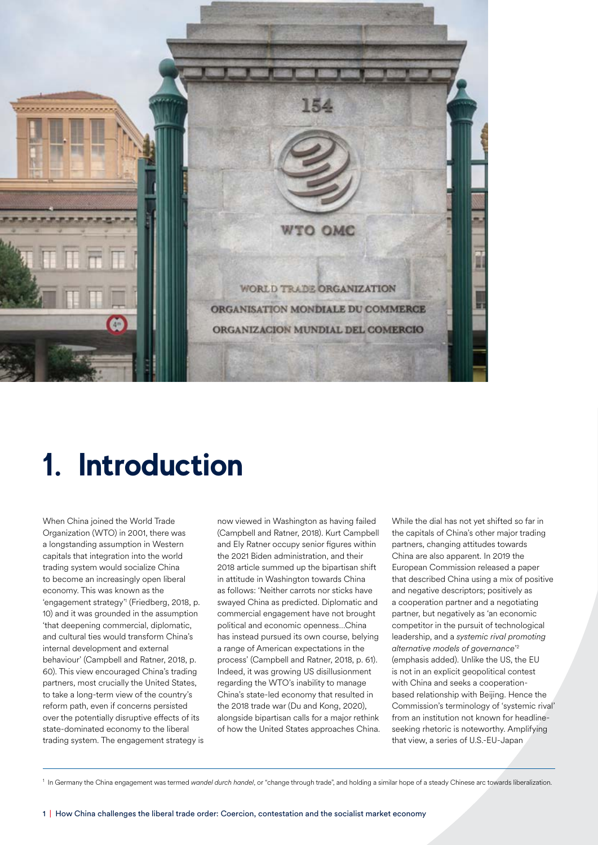

# **1. Introduction**

When China joined the World Trade Organization (WTO) in 2001, there was a longstanding assumption in Western capitals that integration into the world trading system would socialize China to become an increasingly open liberal economy. This was known as the 'engagement strategy'1 (Friedberg, 2018, p. 10) and it was grounded in the assumption 'that deepening commercial, diplomatic, and cultural ties would transform China's internal development and external behaviour' (Campbell and Ratner, 2018, p. 60). This view encouraged China's trading partners, most crucially the United States, to take a long-term view of the country's reform path, even if concerns persisted over the potentially disruptive effects of its state-dominated economy to the liberal trading system. The engagement strategy is now viewed in Washington as having failed (Campbell and Ratner, 2018). Kurt Campbell and Ely Ratner occupy senior figures within the 2021 Biden administration, and their 2018 article summed up the bipartisan shift in attitude in Washington towards China as follows: 'Neither carrots nor sticks have swayed China as predicted. Diplomatic and commercial engagement have not brought political and economic openness…China has instead pursued its own course, belying a range of American expectations in the process' (Campbell and Ratner, 2018, p. 61). Indeed, it was growing US disillusionment regarding the WTO's inability to manage China's state-led economy that resulted in the 2018 trade war (Du and Kong, 2020), alongside bipartisan calls for a major rethink of how the United States approaches China.

While the dial has not yet shifted so far in the capitals of China's other major trading partners, changing attitudes towards China are also apparent. In 2019 the European Commission released a paper that described China using a mix of positive and negative descriptors; positively as a cooperation partner and a negotiating partner, but negatively as 'an economic competitor in the pursuit of technological leadership, and a *systemic rival promoting alternative models of governance*' 2 (emphasis added). Unlike the US, the EU is not in an explicit geopolitical contest with China and seeks a cooperationbased relationship with Beijing. Hence the Commission's terminology of 'systemic rival' from an institution not known for headlineseeking rhetoric is noteworthy. Amplifying that view, a series of U.S.-EU-Japan

<sup>1</sup> In Germany the China engagement was termed *wandel durch handel*, or "change through trade", and holding a similar hope of a steady Chinese arc towards liberalization.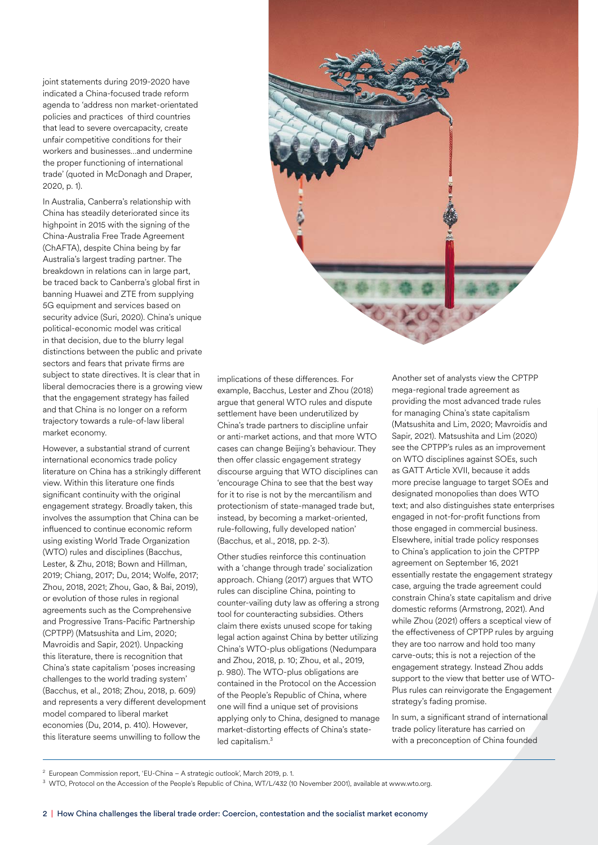joint statements during 2019-2020 have indicated a China-focused trade reform agenda to 'address non market-orientated policies and practices of third countries that lead to severe overcapacity, create unfair competitive conditions for their workers and businesses…and undermine the proper functioning of international trade' (quoted in McDonagh and Draper, 2020, p. 1).

In Australia, Canberra's relationship with China has steadily deteriorated since its highpoint in 2015 with the signing of the China-Australia Free Trade Agreement (ChAFTA), despite China being by far Australia's largest trading partner. The breakdown in relations can in large part, be traced back to Canberra's global first in banning Huawei and ZTE from supplying 5G equipment and services based on security advice (Suri, 2020). China's unique political-economic model was critical in that decision, due to the blurry legal distinctions between the public and private sectors and fears that private firms are subject to state directives. It is clear that in liberal democracies there is a growing view that the engagement strategy has failed and that China is no longer on a reform trajectory towards a rule-of-law liberal market economy.

However, a substantial strand of current international economics trade policy literature on China has a strikingly different view. Within this literature one finds significant continuity with the original engagement strategy. Broadly taken, this involves the assumption that China can be influenced to continue economic reform using existing World Trade Organization (WTO) rules and disciplines (Bacchus, Lester, & Zhu, 2018; Bown and Hillman, 2019; Chiang, 2017; Du, 2014; Wolfe, 2017; Zhou, 2018, 2021; Zhou, Gao, & Bai, 2019), or evolution of those rules in regional agreements such as the Comprehensive and Progressive Trans-Pacific Partnership (CPTPP) (Matsushita and Lim, 2020; Mavroidis and Sapir, 2021). Unpacking this literature, there is recognition that China's state capitalism 'poses increasing challenges to the world trading system' (Bacchus, et al., 2018; Zhou, 2018, p. 609) and represents a very different development model compared to liberal market economies (Du, 2014, p. 410). However, this literature seems unwilling to follow the



implications of these differences. For example, Bacchus, Lester and Zhou (2018) argue that general WTO rules and dispute settlement have been underutilized by China's trade partners to discipline unfair or anti-market actions, and that more WTO cases can change Beijing's behaviour. They then offer classic engagement strategy discourse arguing that WTO disciplines can 'encourage China to see that the best way for it to rise is not by the mercantilism and protectionism of state-managed trade but, instead, by becoming a market-oriented, rule-following, fully developed nation' (Bacchus, et al., 2018, pp. 2-3).

Other studies reinforce this continuation with a 'change through trade' socialization approach. Chiang (2017) argues that WTO rules can discipline China, pointing to counter-vailing duty law as offering a strong tool for counteracting subsidies. Others claim there exists unused scope for taking legal action against China by better utilizing China's WTO-plus obligations (Nedumpara and Zhou, 2018, p. 10; Zhou, et al., 2019, p. 980). The WTO-plus obligations are contained in the Protocol on the Accession of the People's Republic of China, where one will find a unique set of provisions applying only to China, designed to manage market-distorting effects of China's stateled capitalism.<sup>3</sup>

Another set of analysts view the CPTPP mega-regional trade agreement as providing the most advanced trade rules for managing China's state capitalism (Matsushita and Lim, 2020; Mavroidis and Sapir, 2021). Matsushita and Lim (2020) see the CPTPP's rules as an improvement on WTO disciplines against SOEs, such as GATT Article XVII, because it adds more precise language to target SOEs and designated monopolies than does WTO text; and also distinguishes state enterprises engaged in not-for-profit functions from those engaged in commercial business. Elsewhere, initial trade policy responses to China's application to join the CPTPP agreement on September 16, 2021 essentially restate the engagement strategy case, arguing the trade agreement could constrain China's state capitalism and drive domestic reforms (Armstrong, 2021). And while Zhou (2021) offers a sceptical view of the effectiveness of CPTPP rules by arguing they are too narrow and hold too many carve-outs; this is not a rejection of the engagement strategy. Instead Zhou adds support to the view that better use of WTO-Plus rules can reinvigorate the Engagement strategy's fading promise.

In sum, a significant strand of international trade policy literature has carried on with a preconception of China founded

<sup>3</sup> WTO, Protocol on the Accession of the People's Republic of China, WT/L/432 (10 November 2001), available at www.wto.org.

<sup>&</sup>lt;sup>2</sup> European Commission report, 'EU-China - A strategic outlook', March 2019, p. 1.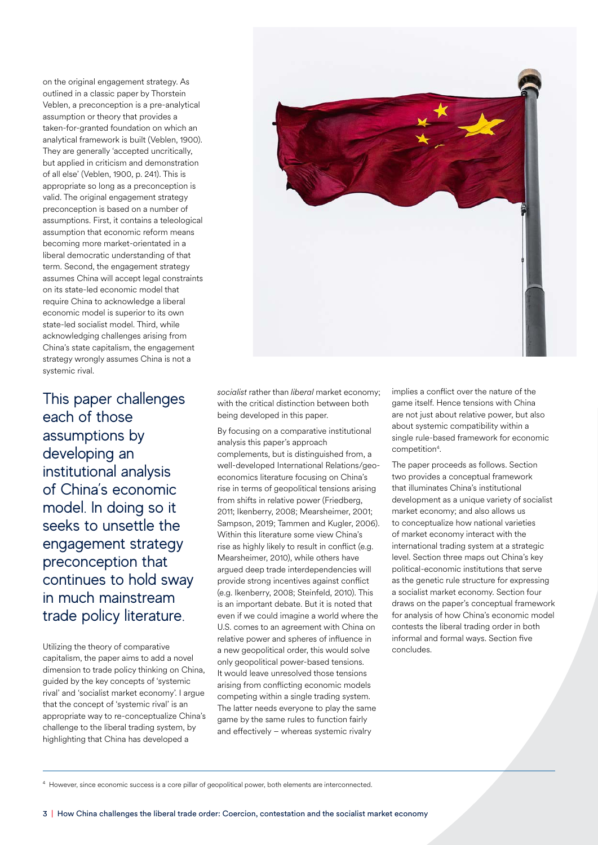on the original engagement strategy. As outlined in a classic paper by Thorstein Veblen, a preconception is a pre-analytical assumption or theory that provides a taken-for-granted foundation on which an analytical framework is built (Veblen, 1900). They are generally 'accepted uncritically, but applied in criticism and demonstration of all else' (Veblen, 1900, p. 241). This is appropriate so long as a preconception is valid. The original engagement strategy preconception is based on a number of assumptions. First, it contains a teleological assumption that economic reform means becoming more market-orientated in a liberal democratic understanding of that term. Second, the engagement strategy assumes China will accept legal constraints on its state-led economic model that require China to acknowledge a liberal economic model is superior to its own state-led socialist model. Third, while acknowledging challenges arising from China's state capitalism, the engagement strategy wrongly assumes China is not a systemic rival.

This paper challenges each of those assumptions by developing an institutional analysis of China's economic model. In doing so it seeks to unsettle the engagement strategy preconception that continues to hold sway in much mainstream trade policy literature.

Utilizing the theory of comparative capitalism, the paper aims to add a novel dimension to trade policy thinking on China, guided by the key concepts of 'systemic rival' and 'socialist market economy'. I argue that the concept of 'systemic rival' is an appropriate way to re-conceptualize China's challenge to the liberal trading system, by highlighting that China has developed a



*socialist* rather than *liberal* market economy; with the critical distinction between both being developed in this paper.

By focusing on a comparative institutional analysis this paper's approach complements, but is distinguished from, a well-developed International Relations/geoeconomics literature focusing on China's rise in terms of geopolitical tensions arising from shifts in relative power (Friedberg, 2011; Ikenberry, 2008; Mearsheimer, 2001; Sampson, 2019; Tammen and Kugler, 2006). Within this literature some view China's rise as highly likely to result in conflict (e.g. Mearsheimer, 2010), while others have argued deep trade interdependencies will provide strong incentives against conflict (e.g. Ikenberry, 2008; Steinfeld, 2010). This is an important debate. But it is noted that even if we could imagine a world where the U.S. comes to an agreement with China on relative power and spheres of influence in a new geopolitical order, this would solve only geopolitical power-based tensions. It would leave unresolved those tensions arising from conflicting economic models competing within a single trading system. The latter needs everyone to play the same game by the same rules to function fairly and effectively – whereas systemic rivalry

implies a conflict over the nature of the game itself. Hence tensions with China are not just about relative power, but also about systemic compatibility within a single rule-based framework for economic competition<sup>4</sup>.

The paper proceeds as follows. Section two provides a conceptual framework that illuminates China's institutional development as a unique variety of socialist market economy; and also allows us to conceptualize how national varieties of market economy interact with the international trading system at a strategic level. Section three maps out China's key political-economic institutions that serve as the genetic rule structure for expressing a socialist market economy. Section four draws on the paper's conceptual framework for analysis of how China's economic model contests the liberal trading order in both informal and formal ways. Section five concludes.

4 However, since economic success is a core pillar of geopolitical power, both elements are interconnected.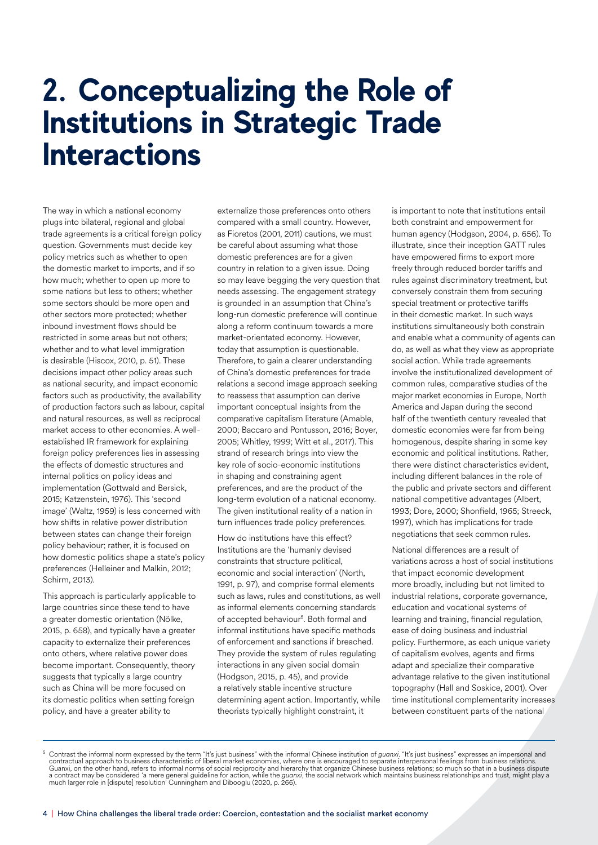### **2. Conceptualizing the Role of Institutions in Strategic Trade Interactions**

The way in which a national economy plugs into bilateral, regional and global trade agreements is a critical foreign policy question. Governments must decide key policy metrics such as whether to open the domestic market to imports, and if so how much; whether to open up more to some nations but less to others; whether some sectors should be more open and other sectors more protected; whether inbound investment flows should be restricted in some areas but not others; whether and to what level immigration is desirable (Hiscox, 2010, p. 51). These decisions impact other policy areas such as national security, and impact economic factors such as productivity, the availability of production factors such as labour, capital and natural resources, as well as reciprocal market access to other economies. A wellestablished IR framework for explaining foreign policy preferences lies in assessing the effects of domestic structures and internal politics on policy ideas and implementation (Gottwald and Bersick, 2015; Katzenstein, 1976). This 'second image' (Waltz, 1959) is less concerned with how shifts in relative power distribution between states can change their foreign policy behaviour; rather, it is focused on how domestic politics shape a state's policy preferences (Helleiner and Malkin, 2012; Schirm, 2013).

This approach is particularly applicable to large countries since these tend to have a greater domestic orientation (Nölke, 2015, p. 658), and typically have a greater capacity to externalize their preferences onto others, where relative power does become important. Consequently, theory suggests that typically a large country such as China will be more focused on its domestic politics when setting foreign policy, and have a greater ability to

externalize those preferences onto others compared with a small country. However, as Fioretos (2001, 2011) cautions, we must be careful about assuming what those domestic preferences are for a given country in relation to a given issue. Doing so may leave begging the very question that needs assessing. The engagement strategy is grounded in an assumption that China's long-run domestic preference will continue along a reform continuum towards a more market-orientated economy. However, today that assumption is questionable. Therefore, to gain a clearer understanding of China's domestic preferences for trade relations a second image approach seeking to reassess that assumption can derive important conceptual insights from the comparative capitalism literature (Amable, 2000; Baccaro and Pontusson, 2016; Boyer, 2005; Whitley, 1999; Witt et al., 2017). This strand of research brings into view the key role of socio-economic institutions in shaping and constraining agent preferences, and are the product of the long-term evolution of a national economy. The given institutional reality of a nation in turn influences trade policy preferences.

How do institutions have this effect? Institutions are the 'humanly devised constraints that structure political, economic and social interaction' (North, 1991, p. 97), and comprise formal elements such as laws, rules and constitutions, as well as informal elements concerning standards of accepted behaviour<sup>5</sup>. Both formal and informal institutions have specific methods of enforcement and sanctions if breached. They provide the system of rules regulating interactions in any given social domain (Hodgson, 2015, p. 45), and provide a relatively stable incentive structure determining agent action. Importantly, while theorists typically highlight constraint, it

is important to note that institutions entail both constraint and empowerment for human agency (Hodgson, 2004, p. 656). To illustrate, since their inception GATT rules have empowered firms to export more freely through reduced border tariffs and rules against discriminatory treatment, but conversely constrain them from securing special treatment or protective tariffs in their domestic market. In such ways institutions simultaneously both constrain and enable what a community of agents can do, as well as what they view as appropriate social action. While trade agreements involve the institutionalized development of common rules, comparative studies of the major market economies in Europe, North America and Japan during the second half of the twentieth century revealed that domestic economies were far from being homogenous, despite sharing in some key economic and political institutions. Rather, there were distinct characteristics evident, including different balances in the role of the public and private sectors and different national competitive advantages (Albert, 1993; Dore, 2000; Shonfield, 1965; Streeck, 1997), which has implications for trade negotiations that seek common rules.

National differences are a result of variations across a host of social institutions that impact economic development more broadly, including but not limited to industrial relations, corporate governance, education and vocational systems of learning and training, financial regulation, ease of doing business and industrial policy. Furthermore, as each unique variety of capitalism evolves, agents and firms adapt and specialize their comparative advantage relative to the given institutional topography (Hall and Soskice, 2001). Over time institutional complementarity increases between constituent parts of the national

<sup>&</sup>lt;sup>5</sup> Contrast the informal norm expressed by the term "It's just business" with the informal Chinese institution of *guanxi*. "It's just business" expresses an impersonal and contractual approach to business characteristic a contract may be considered 'a mere general guideline for action, while the *guanxi*, the social network which maintains business relationships and trust, might play a<br>much larger role in [dispute] resolution' Cunningham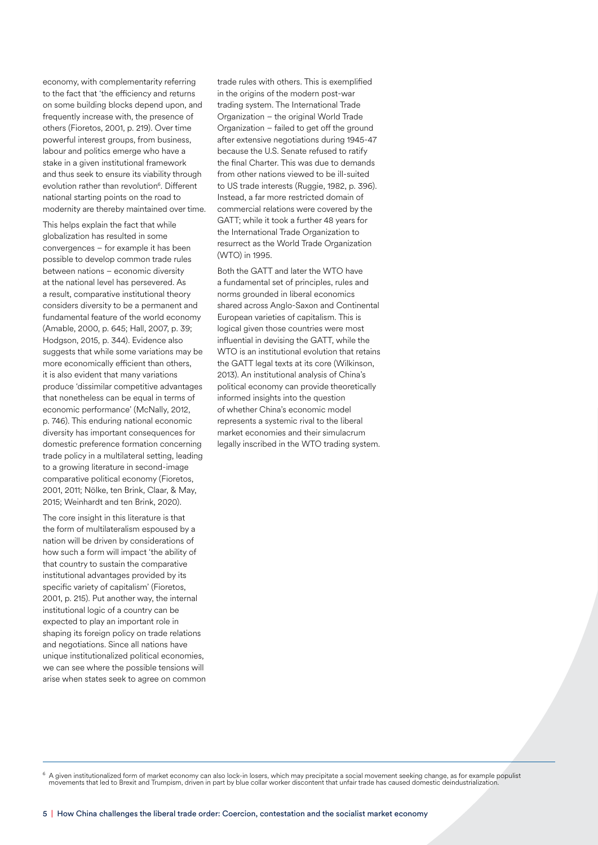economy, with complementarity referring to the fact that 'the efficiency and returns on some building blocks depend upon, and frequently increase with, the presence of others (Fioretos, 2001, p. 219). Over time powerful interest groups, from business, labour and politics emerge who have a stake in a given institutional framework and thus seek to ensure its viability through evolution rather than revolution<sup>6</sup>. Different national starting points on the road to modernity are thereby maintained over time.

This helps explain the fact that while globalization has resulted in some convergences – for example it has been possible to develop common trade rules between nations – economic diversity at the national level has persevered. As a result, comparative institutional theory considers diversity to be a permanent and fundamental feature of the world economy (Amable, 2000, p. 645; Hall, 2007, p. 39; Hodgson, 2015, p. 344). Evidence also suggests that while some variations may be more economically efficient than others, it is also evident that many variations produce 'dissimilar competitive advantages that nonetheless can be equal in terms of economic performance' (McNally, 2012, p. 746). This enduring national economic diversity has important consequences for domestic preference formation concerning trade policy in a multilateral setting, leading to a growing literature in second-image comparative political economy (Fioretos, 2001, 2011; Nölke, ten Brink, Claar, & May, 2015; Weinhardt and ten Brink, 2020).

The core insight in this literature is that the form of multilateralism espoused by a nation will be driven by considerations of how such a form will impact 'the ability of that country to sustain the comparative institutional advantages provided by its specific variety of capitalism' (Fioretos, 2001, p. 215). Put another way, the internal institutional logic of a country can be expected to play an important role in shaping its foreign policy on trade relations and negotiations. Since all nations have unique institutionalized political economies, we can see where the possible tensions will arise when states seek to agree on common trade rules with others. This is exemplified in the origins of the modern post-war trading system. The International Trade Organization – the original World Trade Organization – failed to get off the ground after extensive negotiations during 1945-47 because the U.S. Senate refused to ratify the final Charter. This was due to demands from other nations viewed to be ill-suited to US trade interests (Ruggie, 1982, p. 396). Instead, a far more restricted domain of commercial relations were covered by the GATT; while it took a further 48 years for the International Trade Organization to resurrect as the World Trade Organization (WTO) in 1995.

Both the GATT and later the WTO have a fundamental set of principles, rules and norms grounded in liberal economics shared across Anglo-Saxon and Continental European varieties of capitalism. This is logical given those countries were most influential in devising the GATT, while the WTO is an institutional evolution that retains the GATT legal texts at its core (Wilkinson, 2013). An institutional analysis of China's political economy can provide theoretically informed insights into the question of whether China's economic model represents a systemic rival to the liberal market economies and their simulacrum legally inscribed in the WTO trading system.

 $6$  A given institutionalized form of market economy can also lock-in losers, which may precipitate a social movement seeking change, as for example populist movements that led to Brexit and Trumpism, driven in part by bl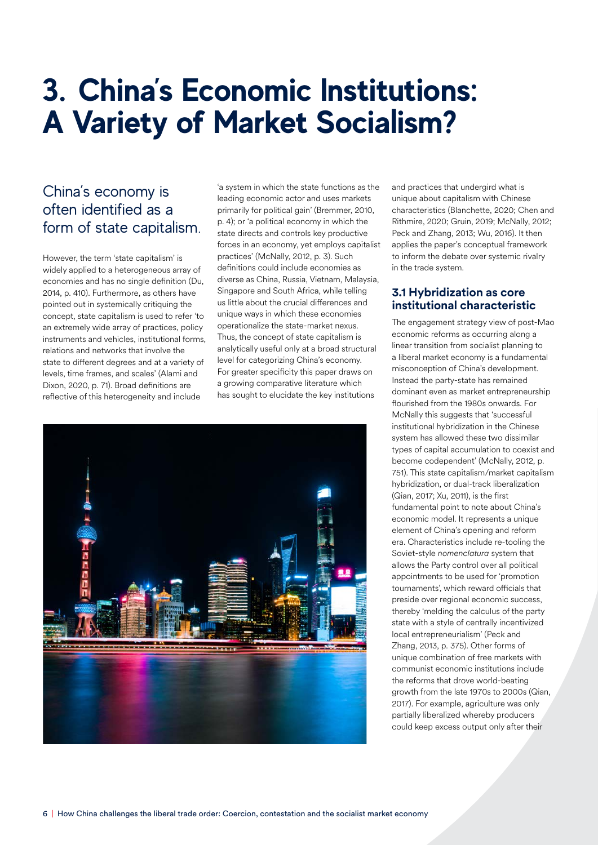# **3. China's Economic Institutions: A Variety of Market Socialism?**

### China's economy is often identified as a form of state capitalism.

However, the term 'state capitalism' is widely applied to a heterogeneous array of economies and has no single definition (Du, 2014, p. 410). Furthermore, as others have pointed out in systemically critiquing the concept, state capitalism is used to refer 'to an extremely wide array of practices, policy instruments and vehicles, institutional forms, relations and networks that involve the state to different degrees and at a variety of levels, time frames, and scales' (Alami and Dixon, 2020, p. 71). Broad definitions are reflective of this heterogeneity and include

'a system in which the state functions as the leading economic actor and uses markets primarily for political gain' (Bremmer, 2010, p. 4); or 'a political economy in which the state directs and controls key productive forces in an economy, yet employs capitalist practices' (McNally, 2012, p. 3). Such definitions could include economies as diverse as China, Russia, Vietnam, Malaysia, Singapore and South Africa, while telling us little about the crucial differences and unique ways in which these economies operationalize the state-market nexus. Thus, the concept of state capitalism is analytically useful only at a broad structural level for categorizing China's economy. For greater specificity this paper draws on a growing comparative literature which has sought to elucidate the key institutions



and practices that undergird what is unique about capitalism with Chinese characteristics (Blanchette, 2020; Chen and Rithmire, 2020; Gruin, 2019; McNally, 2012; Peck and Zhang, 2013; Wu, 2016). It then applies the paper's conceptual framework to inform the debate over systemic rivalry in the trade system.

#### **3.1 Hybridization as core institutional characteristic**

The engagement strategy view of post-Mao economic reforms as occurring along a linear transition from socialist planning to a liberal market economy is a fundamental misconception of China's development. Instead the party-state has remained dominant even as market entrepreneurship flourished from the 1980s onwards. For McNally this suggests that 'successful institutional hybridization in the Chinese system has allowed these two dissimilar types of capital accumulation to coexist and become codependent' (McNally, 2012, p. 751). This state capitalism/market capitalism hybridization, or dual-track liberalization (Qian, 2017; Xu, 2011), is the first fundamental point to note about China's economic model. It represents a unique element of China's opening and reform era. Characteristics include re-tooling the Soviet-style *nomenclatura* system that allows the Party control over all political appointments to be used for 'promotion tournaments', which reward officials that preside over regional economic success, thereby 'melding the calculus of the party state with a style of centrally incentivized local entrepreneurialism' (Peck and Zhang, 2013, p. 375). Other forms of unique combination of free markets with communist economic institutions include the reforms that drove world-beating growth from the late 1970s to 2000s (Qian, 2017). For example, agriculture was only partially liberalized whereby producers could keep excess output only after their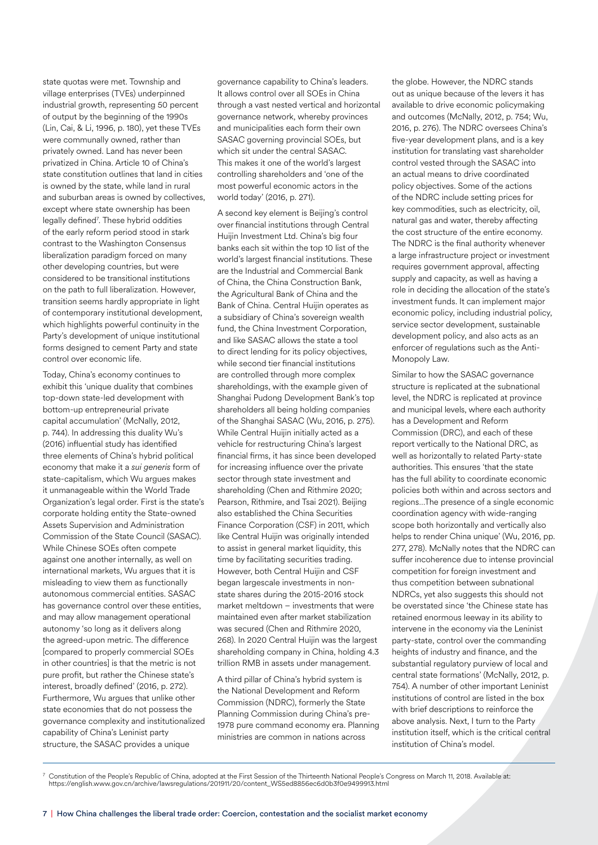state quotas were met. Township and village enterprises (TVEs) underpinned industrial growth, representing 50 percent of output by the beginning of the 1990s (Lin, Cai, & Li, 1996, p. 180), yet these TVEs were communally owned, rather than privately owned. Land has never been privatized in China. Article 10 of China's state constitution outlines that land in cities is owned by the state, while land in rural and suburban areas is owned by collectives, except where state ownership has been legally defined<sup>7</sup>. These hybrid oddities of the early reform period stood in stark contrast to the Washington Consensus liberalization paradigm forced on many other developing countries, but were considered to be transitional institutions on the path to full liberalization. However, transition seems hardly appropriate in light of contemporary institutional development, which highlights powerful continuity in the Party's development of unique institutional forms designed to cement Party and state control over economic life.

Today, China's economy continues to exhibit this 'unique duality that combines top-down state-led development with bottom-up entrepreneurial private capital accumulation' (McNally, 2012, p. 744). In addressing this duality Wu's (2016) influential study has identified three elements of China's hybrid political economy that make it a *sui generis* form of state-capitalism, which Wu argues makes it unmanageable within the World Trade Organization's legal order. First is the state's corporate holding entity the State-owned Assets Supervision and Administration Commission of the State Council (SASAC). While Chinese SOEs often compete against one another internally, as well on international markets, Wu argues that it is misleading to view them as functionally autonomous commercial entities. SASAC has governance control over these entities, and may allow management operational autonomy 'so long as it delivers along the agreed-upon metric. The difference [compared to properly commercial SOEs in other countries] is that the metric is not pure profit, but rather the Chinese state's interest, broadly defined' (2016, p. 272). Furthermore, Wu argues that unlike other state economies that do not possess the governance complexity and institutionalized capability of China's Leninist party structure, the SASAC provides a unique

governance capability to China's leaders. It allows control over all SOEs in China through a vast nested vertical and horizontal governance network, whereby provinces and municipalities each form their own SASAC governing provincial SOEs, but which sit under the central SASAC. This makes it one of the world's largest controlling shareholders and 'one of the most powerful economic actors in the world today' (2016, p. 271).

A second key element is Beijing's control over financial institutions through Central Huijin Investment Ltd. China's big four banks each sit within the top 10 list of the world's largest financial institutions. These are the Industrial and Commercial Bank of China, the China Construction Bank, the Agricultural Bank of China and the Bank of China. Central Huijin operates as a subsidiary of China's sovereign wealth fund, the China Investment Corporation, and like SASAC allows the state a tool to direct lending for its policy objectives, while second tier financial institutions are controlled through more complex shareholdings, with the example given of Shanghai Pudong Development Bank's top shareholders all being holding companies of the Shanghai SASAC (Wu, 2016, p. 275). While Central Huijin initially acted as a vehicle for restructuring China's largest financial firms, it has since been developed for increasing influence over the private sector through state investment and shareholding (Chen and Rithmire 2020; Pearson, Rithmire, and Tsai 2021). Beijing also established the China Securities Finance Corporation (CSF) in 2011, which like Central Huijin was originally intended to assist in general market liquidity, this time by facilitating securities trading. However, both Central Huijin and CSF began largescale investments in nonstate shares during the 2015-2016 stock market meltdown – investments that were maintained even after market stabilization was secured (Chen and Rithmire 2020, 268). In 2020 Central Huijin was the largest shareholding company in China, holding 4.3 trillion RMB in assets under management.

A third pillar of China's hybrid system is the National Development and Reform Commission (NDRC), formerly the State Planning Commission during China's pre-1978 pure command economy era. Planning ministries are common in nations across

the globe. However, the NDRC stands out as unique because of the levers it has available to drive economic policymaking and outcomes (McNally, 2012, p. 754; Wu, 2016, p. 276). The NDRC oversees China's five-year development plans, and is a key institution for translating vast shareholder control vested through the SASAC into an actual means to drive coordinated policy objectives. Some of the actions of the NDRC include setting prices for key commodities, such as electricity, oil, natural gas and water, thereby affecting the cost structure of the entire economy. The NDRC is the final authority whenever a large infrastructure project or investment requires government approval, affecting supply and capacity, as well as having a role in deciding the allocation of the state's investment funds. It can implement major economic policy, including industrial policy, service sector development, sustainable development policy, and also acts as an enforcer of regulations such as the Anti-Monopoly Law.

Similar to how the SASAC governance structure is replicated at the subnational level, the NDRC is replicated at province and municipal levels, where each authority has a Development and Reform Commission (DRC), and each of these report vertically to the National DRC, as well as horizontally to related Party-state authorities. This ensures 'that the state has the full ability to coordinate economic policies both within and across sectors and regions…The presence of a single economic coordination agency with wide-ranging scope both horizontally and vertically also helps to render China unique' (Wu, 2016, pp. 277, 278). McNally notes that the NDRC can suffer incoherence due to intense provincial competition for foreign investment and thus competition between subnational NDRCs, yet also suggests this should not be overstated since 'the Chinese state has retained enormous leeway in its ability to intervene in the economy via the Leninist party-state, control over the commanding heights of industry and finance, and the substantial regulatory purview of local and central state formations' (McNally, 2012, p. 754). A number of other important Leninist institutions of control are listed in the box with brief descriptions to reinforce the above analysis. Next, I turn to the Party institution itself, which is the critical central institution of China's model.

 $^7$  Constitution of the People's Republic of China, adopted at the First Session of the Thirteenth National People's Congress on March 11, 2018. Available at: https://english.www.gov.cn/archive/lawsregulations/201911/20/content\_WS5ed8856ec6d0b3f0e9499913.html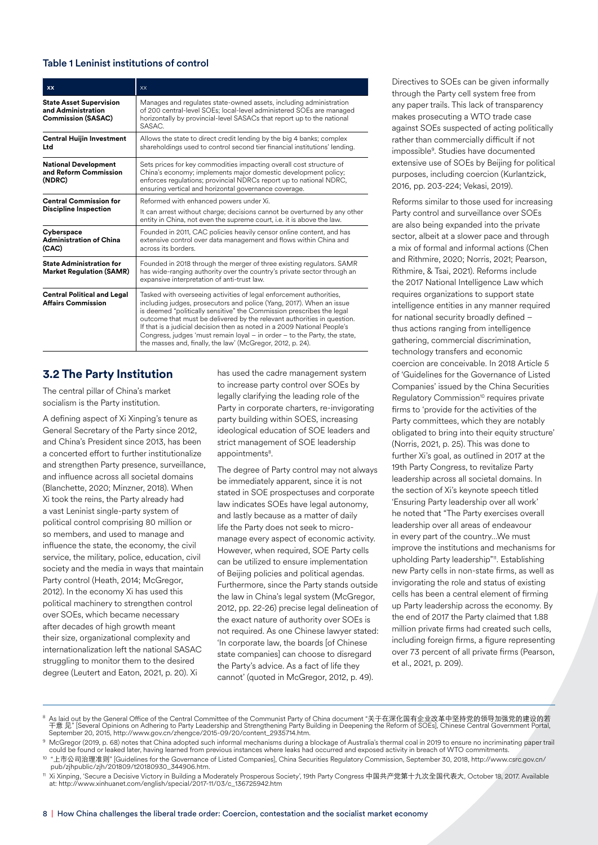#### Table 1 Leninist institutions of control

| <b>XX</b>                                                                         | <b>XX</b>                                                                                                                                                                                                                                                                                                                                                                                                                                                                                                                  |
|-----------------------------------------------------------------------------------|----------------------------------------------------------------------------------------------------------------------------------------------------------------------------------------------------------------------------------------------------------------------------------------------------------------------------------------------------------------------------------------------------------------------------------------------------------------------------------------------------------------------------|
| <b>State Asset Supervision</b><br>and Administration<br><b>Commission (SASAC)</b> | Manages and regulates state-owned assets, including administration<br>of 200 central-level SOEs; local-level administered SOEs are managed<br>horizontally by provincial-level SASACs that report up to the national<br>SASAC.                                                                                                                                                                                                                                                                                             |
| <b>Central Huijin Investment</b><br>Ltd                                           | Allows the state to direct credit lending by the big 4 banks; complex<br>shareholdings used to control second tier financial institutions' lending.                                                                                                                                                                                                                                                                                                                                                                        |
| <b>National Development</b><br>and Reform Commission<br>(NDRC)                    | Sets prices for key commodities impacting overall cost structure of<br>China's economy; implements major domestic development policy;<br>enforces regulations; provincial NDRCs report up to national NDRC,<br>ensuring vertical and horizontal governance coverage.                                                                                                                                                                                                                                                       |
| <b>Central Commission for</b><br><b>Discipline Inspection</b>                     | Reformed with enhanced powers under Xi.                                                                                                                                                                                                                                                                                                                                                                                                                                                                                    |
|                                                                                   | It can arrest without charge; decisions cannot be overturned by any other<br>entity in China, not even the supreme court, i.e. it is above the law.                                                                                                                                                                                                                                                                                                                                                                        |
| Cyberspace<br><b>Administration of China</b><br>(CAC)                             | Founded in 2011, CAC policies heavily censor online content, and has<br>extensive control over data management and flows within China and<br>across its borders                                                                                                                                                                                                                                                                                                                                                            |
| <b>State Administration for</b><br><b>Market Regulation (SAMR)</b>                | Founded in 2018 through the merger of three existing regulators. SAMR<br>has wide-ranging authority over the country's private sector through an<br>expansive interpretation of anti-trust law.                                                                                                                                                                                                                                                                                                                            |
| <b>Central Political and Legal</b><br><b>Affairs Commission</b>                   | Tasked with overseeing activities of legal enforcement authorities,<br>including judges, prosecutors and police (Yang, 2017). When an issue<br>is deemed "politically sensitive" the Commission prescribes the legal<br>outcome that must be delivered by the relevant authorities in question.<br>If that is a judicial decision then as noted in a 2009 National People's<br>Congress, judges 'must remain loyal $-$ in order $-$ to the Party, the state,<br>the masses and, finally, the law' (McGregor, 2012, p. 24). |

#### **3.2 The Party Institution**

The central pillar of China's market socialism is the Party institution.

A defining aspect of Xi Xinping's tenure as General Secretary of the Party since 2012, and China's President since 2013, has been a concerted effort to further institutionalize and strengthen Party presence, surveillance, and influence across all societal domains (Blanchette, 2020; Minzner, 2018). When Xi took the reins, the Party already had a vast Leninist single-party system of political control comprising 80 million or so members, and used to manage and influence the state, the economy, the civil service, the military, police, education, civil society and the media in ways that maintain Party control (Heath, 2014; McGregor, 2012). In the economy Xi has used this political machinery to strengthen control over SOEs, which became necessary after decades of high growth meant their size, organizational complexity and internationalization left the national SASAC struggling to monitor them to the desired degree (Leutert and Eaton, 2021, p. 20). Xi

has used the cadre management system to increase party control over SOEs by legally clarifying the leading role of the Party in corporate charters, re-invigorating party building within SOES, increasing ideological education of SOE leaders and strict management of SOE leadership appointments<sup>8</sup>.

The degree of Party control may not always be immediately apparent, since it is not stated in SOE prospectuses and corporate law indicates SOEs have legal autonomy, and lastly because as a matter of daily life the Party does not seek to micromanage every aspect of economic activity. However, when required, SOE Party cells can be utilized to ensure implementation of Beijing policies and political agendas. Furthermore, since the Party stands outside the law in China's legal system (McGregor, 2012, pp. 22-26) precise legal delineation of the exact nature of authority over SOEs is not required. As one Chinese lawyer stated: 'In corporate law, the boards [of Chinese state companies] can choose to disregard the Party's advice. As a fact of life they cannot' (quoted in McGregor, 2012, p. 49).

Directives to SOEs can be given informally through the Party cell system free from any paper trails. This lack of transparency makes prosecuting a WTO trade case against SOEs suspected of acting politically rather than commercially difficult if not impossible9 . Studies have documented extensive use of SOEs by Beijing for political purposes, including coercion (Kurlantzick, 2016, pp. 203-224; Vekasi, 2019).

Reforms similar to those used for increasing Party control and surveillance over SOEs are also being expanded into the private sector, albeit at a slower pace and through a mix of formal and informal actions (Chen and Rithmire, 2020; Norris, 2021; Pearson, Rithmire, & Tsai, 2021). Reforms include the 2017 National Intelligence Law which requires organizations to support state intelligence entities in any manner required for national security broadly defined – thus actions ranging from intelligence gathering, commercial discrimination, technology transfers and economic coercion are conceivable. In 2018 Article 5 of 'Guidelines for the Governance of Listed Companies' issued by the China Securities Regulatory Commission<sup>10</sup> requires private firms to 'provide for the activities of the Party committees, which they are notably obligated to bring into their equity structure' (Norris, 2021, p. 25). This was done to further Xi's goal, as outlined in 2017 at the 19th Party Congress, to revitalize Party leadership across all societal domains. In the section of Xi's keynote speech titled 'Ensuring Party leadership over all work' he noted that "The Party exercises overall leadership over all areas of endeavour in every part of the country…We must improve the institutions and mechanisms for upholding Party leadership"<sup>11</sup>. Establishing new Party cells in non-state firms, as well as invigorating the role and status of existing cells has been a central element of firming up Party leadership across the economy. By the end of 2017 the Party claimed that 1.88 million private firms had created such cells, including foreign firms, a figure representing over 73 percent of all private firms (Pearson, et al., 2021, p. 209).

8 As laid out by the General Office of the Central Committee of the Communist Party of China document "关于在深化国有企业改革中坚持党的领导加强党的建设的若<br>干意 见" [Several Opinions on Adhering to Party Leadership and Strengthening Party Building in D

9 McGregor (2019, p. 68) notes that China adopted such informal mechanisms during a blockage of Australia's thermal coal in 2019 to ensure no incriminating paper trail could be found or leaked later, having learned from previous instances where leaks had occurred and exposed activity in breach of WTO commitments.

10 "上市公司治理准则" [Guidelines for the Governance of Listed Companies], China Securities Regulatory Commission, September 30, 2018, http://www.csrc.gov.cn/ pub/zjhpublic/zjh/201809/t20180930\_344906.htm.

<sup>11</sup> Xi Xinping, 'Secure a Decisive Victory in Building a Moderately Prosperous Society', 19th Party Congress 中国共产党第十九次全国代表大, October 18, 2017. Available at: http://www.xinhuanet.com/english/special/2017-11/03/c\_136725942.htm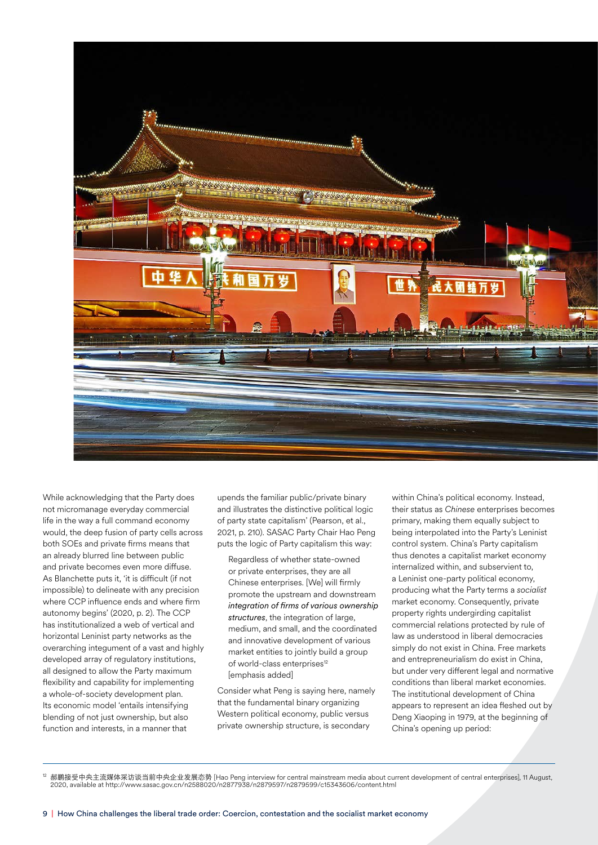

While acknowledging that the Party does not micromanage everyday commercial life in the way a full command economy would, the deep fusion of party cells across both SOEs and private firms means that an already blurred line between public and private becomes even more diffuse. As Blanchette puts it, 'it is difficult (if not impossible) to delineate with any precision where CCP influence ends and where firm autonomy begins' (2020, p. 2). The CCP has institutionalized a web of vertical and horizontal Leninist party networks as the overarching integument of a vast and highly developed array of regulatory institutions, all designed to allow the Party maximum flexibility and capability for implementing a whole-of-society development plan. Its economic model 'entails intensifying blending of not just ownership, but also function and interests, in a manner that

upends the familiar public/private binary and illustrates the distinctive political logic of party state capitalism' (Pearson, et al., 2021, p. 210). SASAC Party Chair Hao Peng puts the logic of Party capitalism this way:

 Regardless of whether state-owned or private enterprises, they are all Chinese enterprises. [We] will firmly promote the upstream and downstream *integration of firms of various ownership structures*, the integration of large, medium, and small, and the coordinated and innovative development of various market entities to jointly build a group of world-class enterprises<sup>12</sup> [emphasis added]

Consider what Peng is saying here, namely that the fundamental binary organizing Western political economy, public versus private ownership structure, is secondary

within China's political economy. Instead, their status as *Chinese* enterprises becomes primary, making them equally subject to being interpolated into the Party's Leninist control system. China's Party capitalism thus denotes a capitalist market economy internalized within, and subservient to, a Leninist one-party political economy, producing what the Party terms a *socialist* market economy. Consequently, private property rights undergirding capitalist commercial relations protected by rule of law as understood in liberal democracies simply do not exist in China. Free markets and entrepreneurialism do exist in China, but under very different legal and normative conditions than liberal market economies. The institutional development of China appears to represent an idea fleshed out by Deng Xiaoping in 1979, at the beginning of China's opening up period:

<sup>12</sup> 郝鹏接受中央主流媒体采访谈当前中央企业发展态势 [Hao Peng interview for central mainstream media about current development of central enterprises], 11 August,<br>2020, available at http://www.sasac.gov.cn/n2588020/n2877938/n2879599/n2879599/c1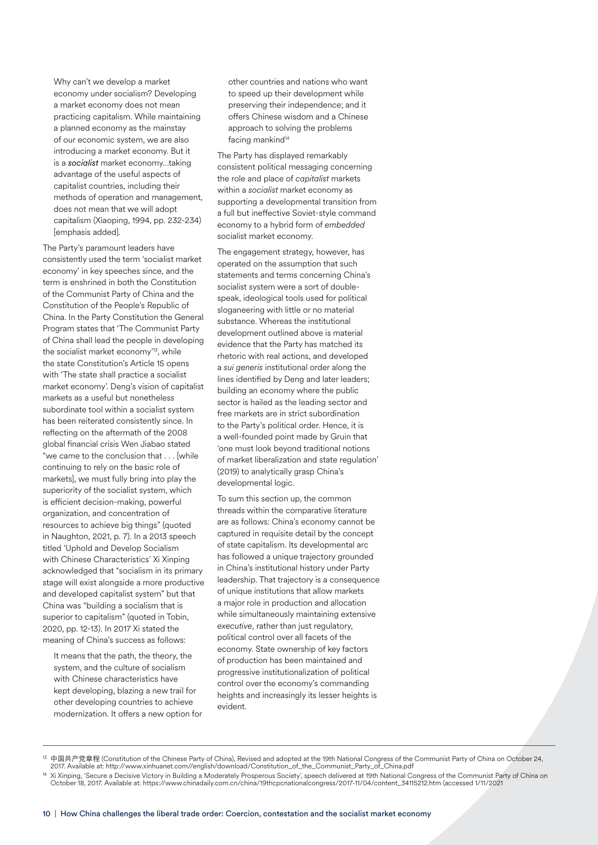Why can't we develop a market economy under socialism? Developing a market economy does not mean practicing capitalism. While maintaining a planned economy as the mainstay of our economic system, we are also introducing a market economy. But it is a *socialist* market economy…taking advantage of the useful aspects of capitalist countries, including their methods of operation and management, does not mean that we will adopt capitalism (Xiaoping, 1994, pp. 232-234) [emphasis added].

The Party's paramount leaders have consistently used the term 'socialist market economy' in key speeches since, and the term is enshrined in both the Constitution of the Communist Party of China and the Constitution of the People's Republic of China. In the Party Constitution the General Program states that 'The Communist Party of China shall lead the people in developing the socialist market economy<sup>13</sup>, while the state Constitution's Article 15 opens with 'The state shall practice a socialist market economy'. Deng's vision of capitalist markets as a useful but nonetheless subordinate tool within a socialist system has been reiterated consistently since. In reflecting on the aftermath of the 2008 global financial crisis Wen Jiabao stated "we came to the conclusion that . . . [while continuing to rely on the basic role of markets], we must fully bring into play the superiority of the socialist system, which is efficient decision-making, powerful organization, and concentration of resources to achieve big things" (quoted in Naughton, 2021, p. 7). In a 2013 speech titled 'Uphold and Develop Socialism with Chinese Characteristics' Xi Xinping acknowledged that "socialism in its primary stage will exist alongside a more productive and developed capitalist system" but that China was "building a socialism that is superior to capitalism" (quoted in Tobin, 2020, pp. 12-13). In 2017 Xi stated the meaning of China's success as follows:

 It means that the path, the theory, the system, and the culture of socialism with Chinese characteristics have kept developing, blazing a new trail for other developing countries to achieve modernization. It offers a new option for other countries and nations who want to speed up their development while preserving their independence; and it offers Chinese wisdom and a Chinese approach to solving the problems facing mankind<sup>14</sup>

The Party has displayed remarkably consistent political messaging concerning the role and place of *capitalist* markets within a *socialist* market economy as supporting a developmental transition from a full but ineffective Soviet-style command economy to a hybrid form of *embedded* socialist market economy.

The engagement strategy, however, has operated on the assumption that such statements and terms concerning China's socialist system were a sort of doublespeak, ideological tools used for political sloganeering with little or no material substance. Whereas the institutional development outlined above is material evidence that the Party has matched its rhetoric with real actions, and developed a *sui generis* institutional order along the lines identified by Deng and later leaders; building an economy where the public sector is hailed as the leading sector and free markets are in strict subordination to the Party's political order. Hence, it is a well-founded point made by Gruin that 'one must look beyond traditional notions of market liberalization and state regulation' (2019) to analytically grasp China's developmental logic.

To sum this section up, the common threads within the comparative literature are as follows: China's economy cannot be captured in requisite detail by the concept of state capitalism. Its developmental arc has followed a unique trajectory grounded in China's institutional history under Party leadership. That trajectory is a consequence of unique institutions that allow markets a major role in production and allocation while simultaneously maintaining extensive *executive*, rather than just regulatory, political control over all facets of the economy. State ownership of key factors of production has been maintained and progressive institutionalization of political control over the economy's commanding heights and increasingly its lesser heights is evident.

<sup>&</sup>lt;sup>13</sup> 中国共产党章程 (Constitution of the Chinese Party of China), Revised and adopted at the 19th National Congress of the Communist Party of China on October 24,<br>2017. Available at: http://www.xinhuanet.com//english/download/Co

<sup>&</sup>lt;sup>14</sup> Xi Xinping, 'Secure a Decisive Victory in Building a Moderately Prosperous Society', speech delivered at 19th National Congress of the Communist Party of China on<br>October 18, 2017. Available at: https://www.chinadaily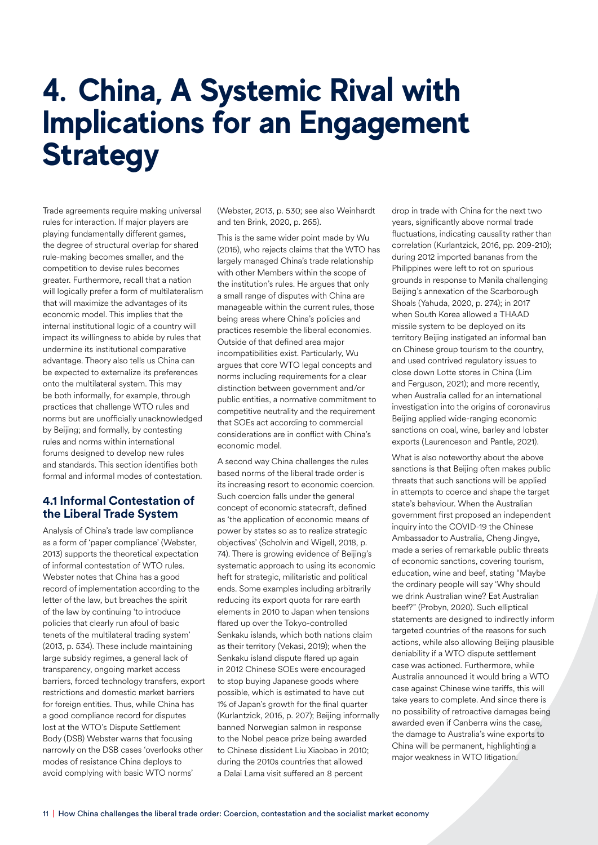## **4. China, A Systemic Rival with Implications for an Engagement Strategy**

Trade agreements require making universal rules for interaction. If major players are playing fundamentally different games, the degree of structural overlap for shared rule-making becomes smaller, and the competition to devise rules becomes greater. Furthermore, recall that a nation will logically prefer a form of multilateralism that will maximize the advantages of its economic model. This implies that the internal institutional logic of a country will impact its willingness to abide by rules that undermine its institutional comparative advantage. Theory also tells us China can be expected to externalize its preferences onto the multilateral system. This may be both informally, for example, through practices that challenge WTO rules and norms but are unofficially unacknowledged by Beijing; and formally, by contesting rules and norms within international forums designed to develop new rules and standards. This section identifies both formal and informal modes of contestation.

#### **4.1 Informal Contestation of the Liberal Trade System**

Analysis of China's trade law compliance as a form of 'paper compliance' (Webster, 2013) supports the theoretical expectation of informal contestation of WTO rules. Webster notes that China has a good record of implementation according to the letter of the law, but breaches the spirit of the law by continuing 'to introduce policies that clearly run afoul of basic tenets of the multilateral trading system' (2013, p. 534). These include maintaining large subsidy regimes, a general lack of transparency, ongoing market access barriers, forced technology transfers, export restrictions and domestic market barriers for foreign entities. Thus, while China has a good compliance record for disputes lost at the WTO's Dispute Settlement Body (DSB) Webster warns that focusing narrowly on the DSB cases 'overlooks other modes of resistance China deploys to avoid complying with basic WTO norms'

(Webster, 2013, p. 530; see also Weinhardt and ten Brink, 2020, p. 265).

This is the same wider point made by Wu (2016), who rejects claims that the WTO has largely managed China's trade relationship with other Members within the scope of the institution's rules. He argues that only a small range of disputes with China are manageable within the current rules, those being areas where China's policies and practices resemble the liberal economies. Outside of that defined area major incompatibilities exist. Particularly, Wu argues that core WTO legal concepts and norms including requirements for a clear distinction between government and/or public entities, a normative commitment to competitive neutrality and the requirement that SOEs act according to commercial considerations are in conflict with China's economic model.

A second way China challenges the rules based norms of the liberal trade order is its increasing resort to economic coercion. Such coercion falls under the general concept of economic statecraft, defined as 'the application of economic means of power by states so as to realize strategic objectives' (Scholvin and Wigell, 2018, p. 74). There is growing evidence of Beijing's systematic approach to using its economic heft for strategic, militaristic and political ends. Some examples including arbitrarily reducing its export quota for rare earth elements in 2010 to Japan when tensions flared up over the Tokyo-controlled Senkaku islands, which both nations claim as their territory (Vekasi, 2019); when the Senkaku island dispute flared up again in 2012 Chinese SOEs were encouraged to stop buying Japanese goods where possible, which is estimated to have cut 1% of Japan's growth for the final quarter (Kurlantzick, 2016, p. 207); Beijing informally banned Norwegian salmon in response to the Nobel peace prize being awarded to Chinese dissident Liu Xiaobao in 2010; during the 2010s countries that allowed a Dalai Lama visit suffered an 8 percent

drop in trade with China for the next two years, significantly above normal trade fluctuations, indicating causality rather than correlation (Kurlantzick, 2016, pp. 209-210); during 2012 imported bananas from the Philippines were left to rot on spurious grounds in response to Manila challenging Beijing's annexation of the Scarborough Shoals (Yahuda, 2020, p. 274); in 2017 when South Korea allowed a THAAD missile system to be deployed on its territory Beijing instigated an informal ban on Chinese group tourism to the country, and used contrived regulatory issues to close down Lotte stores in China (Lim and Ferguson, 2021); and more recently, when Australia called for an international investigation into the origins of coronavirus Beijing applied wide-ranging economic sanctions on coal, wine, barley and lobster exports (Laurenceson and Pantle, 2021).

What is also noteworthy about the above sanctions is that Beijing often makes public threats that such sanctions will be applied in attempts to coerce and shape the target state's behaviour. When the Australian government first proposed an independent inquiry into the COVID-19 the Chinese Ambassador to Australia, Cheng Jingye, made a series of remarkable public threats of economic sanctions, covering tourism, education, wine and beef, stating "Maybe the ordinary people will say 'Why should we drink Australian wine? Eat Australian beef?" (Probyn, 2020). Such elliptical statements are designed to indirectly inform targeted countries of the reasons for such actions, while also allowing Beijing plausible deniability if a WTO dispute settlement case was actioned. Furthermore, while Australia announced it would bring a WTO case against Chinese wine tariffs, this will take years to complete. And since there is no possibility of retroactive damages being awarded even if Canberra wins the case, the damage to Australia's wine exports to China will be permanent, highlighting a major weakness in WTO litigation.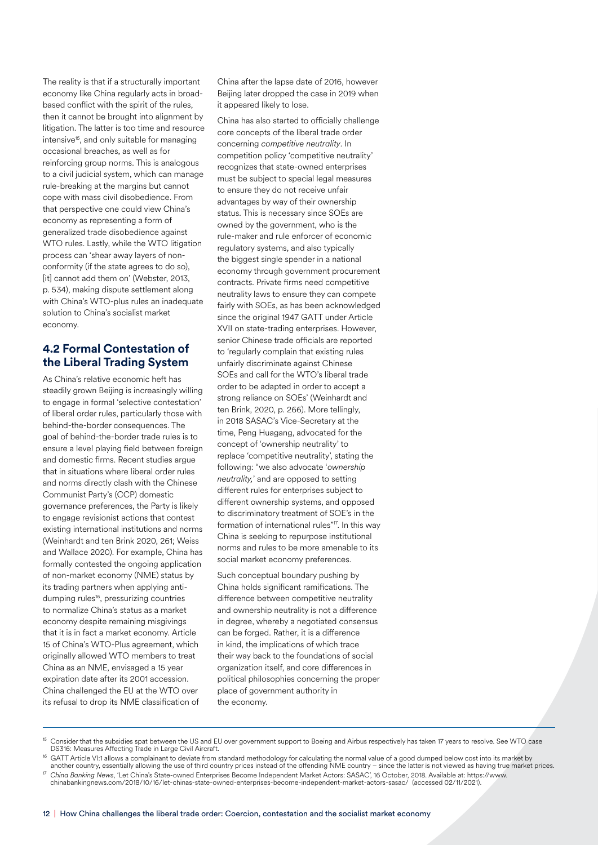The reality is that if a structurally important economy like China regularly acts in broadbased conflict with the spirit of the rules, then it cannot be brought into alignment by litigation. The latter is too time and resource intensive<sup>15</sup>, and only suitable for managing occasional breaches, as well as for reinforcing group norms. This is analogous to a civil judicial system, which can manage rule-breaking at the margins but cannot cope with mass civil disobedience. From that perspective one could view China's economy as representing a form of generalized trade disobedience against WTO rules. Lastly, while the WTO litigation process can 'shear away layers of nonconformity (if the state agrees to do so), [it] cannot add them on' (Webster, 2013, p. 534), making dispute settlement along with China's WTO-plus rules an inadequate solution to China's socialist market economy.

#### **4.2 Formal Contestation of the Liberal Trading System**

As China's relative economic heft has steadily grown Beijing is increasingly willing to engage in formal 'selective contestation' of liberal order rules, particularly those with behind-the-border consequences. The goal of behind-the-border trade rules is to ensure a level playing field between foreign and domestic firms. Recent studies argue that in situations where liberal order rules and norms directly clash with the Chinese Communist Party's (CCP) domestic governance preferences, the Party is likely to engage revisionist actions that contest existing international institutions and norms (Weinhardt and ten Brink 2020, 261; Weiss and Wallace 2020). For example, China has formally contested the ongoing application of non-market economy (NME) status by its trading partners when applying antidumping rules16, pressurizing countries to normalize China's status as a market economy despite remaining misgivings that it is in fact a market economy. Article 15 of China's WTO-Plus agreement, which originally allowed WTO members to treat China as an NME, envisaged a 15 year expiration date after its 2001 accession. China challenged the EU at the WTO over its refusal to drop its NME classification of

China after the lapse date of 2016, however Beijing later dropped the case in 2019 when it appeared likely to lose.

China has also started to officially challenge core concepts of the liberal trade order concerning *competitive neutrality*. In competition policy 'competitive neutrality' recognizes that state-owned enterprises must be subject to special legal measures to ensure they do not receive unfair advantages by way of their ownership status. This is necessary since SOEs are owned by the government, who is the rule-maker and rule enforcer of economic regulatory systems, and also typically the biggest single spender in a national economy through government procurement contracts. Private firms need competitive neutrality laws to ensure they can compete fairly with SOEs, as has been acknowledged since the original 1947 GATT under Article XVII on state-trading enterprises. However, senior Chinese trade officials are reported to 'regularly complain that existing rules unfairly discriminate against Chinese SOEs and call for the WTO's liberal trade order to be adapted in order to accept a strong reliance on SOEs' (Weinhardt and ten Brink, 2020, p. 266). More tellingly, in 2018 SASAC's Vice-Secretary at the time, Peng Huagang, advocated for the concept of 'ownership neutrality' to replace 'competitive neutrality', stating the following: "we also advocate '*ownership neutrality,*' and are opposed to setting different rules for enterprises subject to different ownership systems, and opposed to discriminatory treatment of SOE's in the formation of international rules"<sup>17</sup>. In this way China is seeking to repurpose institutional norms and rules to be more amenable to its social market economy preferences.

Such conceptual boundary pushing by China holds significant ramifications. The difference between competitive neutrality and ownership neutrality is not a difference in degree, whereby a negotiated consensus can be forged. Rather, it is a difference in kind, the implications of which trace their way back to the foundations of social organization itself, and core differences in political philosophies concerning the proper place of government authority in the economy.

15 Consider that the subsidies spat between the US and EU over government support to Boeing and Airbus respectively has taken 17 years to resolve. See WTO case DS316: Measures Affecting Trade in Large Civil Aircraft.

 $\frac{16}{16}$  GATT Article VI:1 allows a complainant to deviate from standard methodology for calculating the normal value of a good dumped below cost into its market by<br>another country, essentially allowing the use of thir

<sup>17</sup> China Banking News, 'Let China's State-owned Enterprises Become Independent Market Actors: SASAC', 16 October, 2018. Available at: https://www.<br>chinabankingnews.com/2018/10/16/let-chinas-state-owned-enterprises-become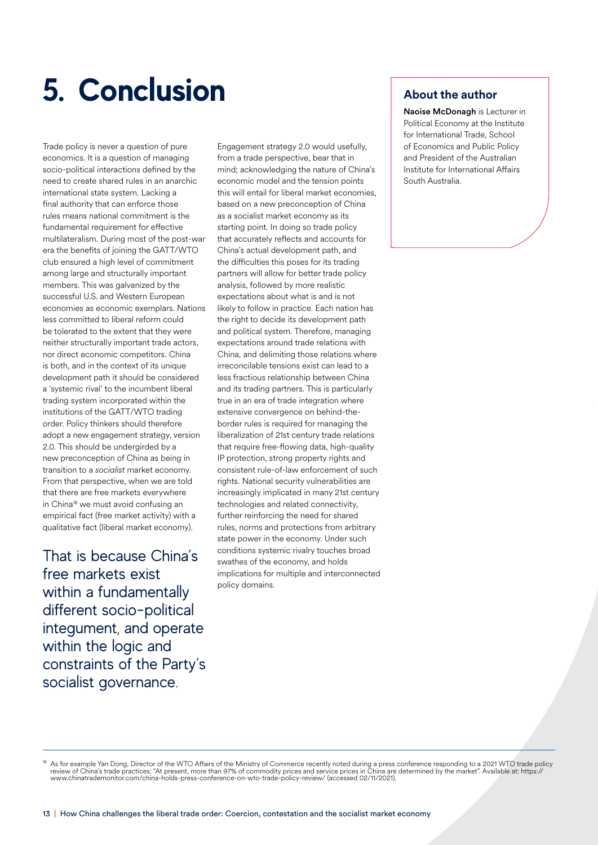# **5. Conclusion**

Trade policy is never a question of pure economics. It is a question of managing socio-political interactions defined by the need to create shared rules in an anarchic international state system. Lacking a final authority that can enforce those rules means national commitment is the fundamental requirement for effective multilateralism. During most of the post-war era the benefits of joining the GATT/WTO club ensured a high level of commitment among large and structurally important members. This was galvanized by the successful U.S. and Western European economies as economic exemplars. Nations less committed to liberal reform could be tolerated to the extent that they were neither structurally important trade actors, nor direct economic competitors. China is both, and in the context of its unique development path it should be considered a 'systemic rival' to the incumbent liberal trading system incorporated within the institutions of the GATT/WTO trading order. Policy thinkers should therefore adopt a new engagement strategy, version 2.0. This should be undergirded by a new preconception of China as being in transition to a *socialist* market economy. From that perspective, when we are told that there are free markets everywhere in China18 we must avoid confusing an empirical fact (free market activity) with a qualitative fact (liberal market economy).

That is because China's free markets exist within a fundamentally different socio-political integument, and operate within the logic and constraints of the Party's socialist governance.

Engagement strategy 2.0 would usefully, from a trade perspective, bear that in mind; acknowledging the nature of China's economic model and the tension points this will entail for liberal market economies, based on a new preconception of China as a socialist market economy as its starting point. In doing so trade policy that accurately reflects and accounts for China's actual development path, and the difficulties this poses for its trading partners will allow for better trade policy analysis, followed by more realistic expectations about what is and is not likely to follow in practice. Each nation has the right to decide its development path and political system. Therefore, managing expectations around trade relations with China, and delimiting those relations where irreconcilable tensions exist can lead to a less fractious relationship between China and its trading partners. This is particularly true in an era of trade integration where extensive convergence on behind-theborder rules is required for managing the liberalization of 21st century trade relations that require free-flowing data, high-quality IP protection, strong property rights and consistent rule-of-law enforcement of such rights. National security vulnerabilities are increasingly implicated in many 21st century technologies and related connectivity, further reinforcing the need for shared rules, norms and protections from arbitrary state power in the economy. Under such conditions systemic rivalry touches broad swathes of the economy, and holds implications for multiple and interconnected policy domains.

### **About the author**

Naoise McDonagh is Lecturer in Political Economy at the Institute for International Trade, School of Economics and Public Policy and President of the Australian Institute for International Affairs South Australia.

<sup>18</sup> As for example Yan Dong, Director of the WTO Affairs of the Ministry of Commerce recently noted during a press conference responding to a 2021 WTO trade policy<br>review of China's trade practices: "At present, more than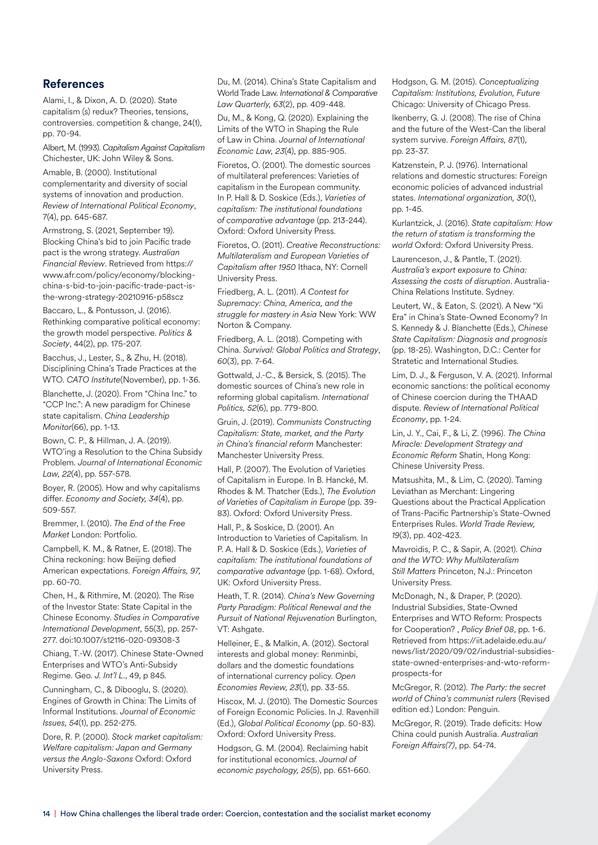#### **References**

Alami, I., & Dixon, A. D. (2020). State capitalism (s) redux? Theories, tensions, controversies. competition & change, 24(1), pp. 70-94.

Albert, M. (1993). *Capitalism Against Capitalism* Chichester, UK: John Wiley & Sons.

Amable, B. (2000). Institutional complementarity and diversity of social systems of innovation and production. *Review of International Political Economy*, 7(4), pp. 645-687.

Armstrong, S. (2021, September 19). Blocking China's bid to join Pacific trade pact is the wrong strategy. *Australian Financial Review*. Retrieved from https:// www.afr.com/policy/economy/blockingchina-s-bid-to-join-pacific-trade-pact-isthe-wrong-strategy-20210916-p58scz

Baccaro, L., & Pontusson, J. (2016). Rethinking comparative political economy: the growth model perspective. *Politics & Society*, 44(2), pp. 175-207.

Bacchus, J., Lester, S., & Zhu, H. (2018). Disciplining China's Trade Practices at the WTO. *CATO Institute*(November), pp. 1-36.

Blanchette, J. (2020). From "China Inc." to "CCP Inc.": A new paradigm for Chinese state capitalism. *China Leadership Monitor*(66), pp. 1-13.

Bown, C. P., & Hillman, J. A. (2019). WTO'ing a Resolution to the China Subsidy Problem. *Journal of International Economic Law, 22*(4), pp. 557-578.

Boyer, R. (2005). How and why capitalisms differ. *Economy and Society, 34*(4), pp. 509-557.

Bremmer, I. (2010). *The End of the Free Market* London: Portfolio.

Campbell, K. M., & Ratner, E. (2018). The China reckoning: how Beijing defied American expectations. *Foreign Affairs, 97,*  pp. 60-70.

Chen, H., & Rithmire, M. (2020). The Rise of the Investor State: State Capital in the Chinese Economy. *Studies in Comparative International Development*, 55(3), pp. 257- 277. doi:10.1007/s12116-020-09308-3

Chiang, T.-W. (2017). Chinese State-Owned Enterprises and WTO's Anti-Subsidy Regime. Geo. *J. Int'l L*., 49, p 845.

Cunningham, C., & Dibooglu, S. (2020). Engines of Growth in China: The Limits of Informal Institutions. *Journal of Economic Issues, 54*(1), pp. 252-275.

Dore, R. P. (2000). *Stock market capitalism: Welfare capitalism: Japan and Germany versus the Anglo-Saxons* Oxford: Oxford University Press.

Du, M. (2014). China's State Capitalism and World Trade Law. *International & Comparative Law Quarterly, 63*(2), pp. 409-448.

Du, M., & Kong, Q. (2020). Explaining the Limits of the WTO in Shaping the Rule of Law in China. *Journal of International Economic Law, 23*(4), pp. 885-905.

Fioretos, O. (2001). The domestic sources of multilateral preferences: Varieties of capitalism in the European community. In P. Hall & D. Soskice (Eds.), *Varieties of capitalism: The institutional foundations of comparative advantage* (pp. 213-244). Oxford: Oxford University Press.

Fioretos, O. (2011). *Creative Reconstructions: Multilateralism and European Varieties of Capitalism after 1950* Ithaca, NY: Cornell University Press.

Friedberg, A. L. (2011). *A Contest for Supremacy: China, America, and the struggle for mastery in Asia* New York: WW Norton & Company.

Friedberg, A. L. (2018). Competing with China. *Survival: Global Politics and Strategy*, *60*(3), pp. 7-64.

Gottwald, J.-C., & Bersick, S. (2015). The domestic sources of China's new role in reforming global capitalism. *International Politics, 52*(6), pp. 779-800.

Gruin, J. (2019). *Communists Constructing Capitalism: State, market, and the Party in China's financial reform* Manchester: Manchester University Press.

Hall, P. (2007). The Evolution of Varieties of Capitalism in Europe. In B. Hancké, M. Rhodes & M. Thatcher (Eds.), *The Evolution of Varieties of Capitalism in Europe* (pp. 39- 83). Oxford: Oxford University Press.

Hall, P., & Soskice, D. (2001). An Introduction to Varieties of Capitalism. In P. A. Hall & D. Soskice (Eds.), *Varieties of capitalism: The institutional foundations of comparative advantage* (pp. 1-68). Oxford, UK: Oxford University Press.

Heath, T. R. (2014). *China's New Governing Party Paradigm: Political Renewal and the Pursuit of National Rejuvenation* Burlington, VT: Ashgate.

Helleiner, E., & Malkin, A. (2012). Sectoral interests and global money: Renminbi, dollars and the domestic foundations of international currency policy. *Open Economies Review, 23*(1), pp. 33-55.

Hiscox, M. J. (2010). The Domestic Sources of Foreign Economic Policies. In J. Ravenhill (Ed.), *Global Political Economy* (pp. 50-83). Oxford: Oxford University Press.

Hodgson, G. M. (2004). Reclaiming habit for institutional economics. *Journal of economic psychology, 25*(5), pp. 651-660. Hodgson, G. M. (2015). *Conceptualizing Capitalism: Institutions, Evolution, Future* Chicago: University of Chicago Press.

Ikenberry, G. J. (2008). The rise of China and the future of the West-Can the liberal system survive. *Foreign Affairs, 87*(1), pp. 23-37.

Katzenstein, P. J. (1976). International relations and domestic structures: Foreign economic policies of advanced industrial states. *International organization, 30*(1), pp. 1-45.

Kurlantzick, J. (2016). *State capitalism: How the return of statism is transforming the world* Oxford: Oxford University Press.

Laurenceson, J., & Pantle, T. (2021). *Australia's export exposure to China: Assessing the costs of disruption*. Australia-China Relations Institute. Sydney.

Leutert, W., & Eaton, S. (2021). A New "Xi Era" in China's State-Owned Economy? In S. Kennedy & J. Blanchette (Eds.), *Chinese State Capitalism: Diagnosis and prognosis* (pp. 18-25). Washington, D.C.: Center for Stratetic and International Studies.

Lim, D. J., & Ferguson, V. A. (2021). Informal economic sanctions: the political economy of Chinese coercion during the THAAD dispute. *Review of International Political Economy*, pp. 1-24.

Lin, J. Y., Cai, F., & Li, Z. (1996). *The China Miracle: Development Strategy and Economic Reform* Shatin, Hong Kong: Chinese University Press.

Matsushita, M., & Lim, C. (2020). Taming Leviathan as Merchant: Lingering Questions about the Practical Application of Trans-Pacific Partnership's State-Owned Enterprises Rules. *World Trade Review, 19*(3), pp. 402-423.

Mavroidis, P. C., & Sapir, A. (2021). *China and the WTO: Why Multilateralism Still Matters* Princeton, N.J.: Princeton University Press.

McDonagh, N., & Draper, P. (2020). Industrial Subsidies, State-Owned Enterprises and WTO Reform: Prospects for Cooperation? , *Policy Brief 08*, pp. 1-6. Retrieved from https://iit.adelaide.edu.au/ news/list/2020/09/02/industrial-subsidiesstate-owned-enterprises-and-wto-reformprospects-for

McGregor, R. (2012). *The Party: the secret world of China's communist rulers* (Revised edition ed.) London: Penguin.

McGregor, R. (2019). Trade deficits: How China could punish Australia. *Australian Foreign Affairs(7)*, pp. 54-74.